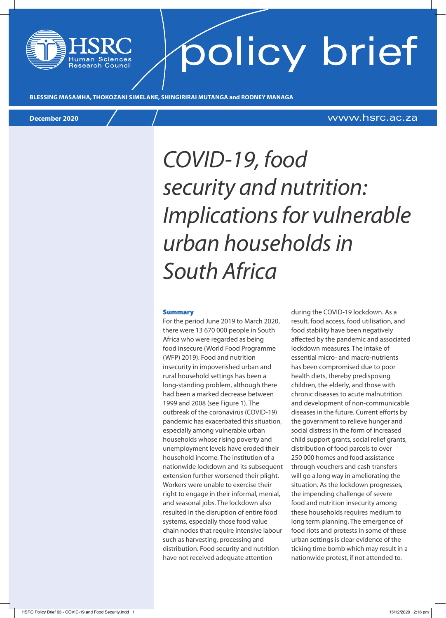# policy brief

**BLESSING MASAMHA, THOKOZANI SIMELANE, SHINGIRIRAI MUTANGA and RODNEY MANAGA**

### **December 2020** www.hsrc.ac.za

### *COVID-19, food security and nutrition: Implications for vulnerable urban households in South Africa*

#### Summary

For the period June 2019 to March 2020, there were 13 670 000 people in South Africa who were regarded as being food insecure (World Food Programme (WFP) 2019). Food and nutrition insecurity in impoverished urban and rural household settings has been a long-standing problem, although there had been a marked decrease between 1999 and 2008 (see Figure 1). The outbreak of the coronavirus (COVID-19) pandemic has exacerbated this situation, especially among vulnerable urban households whose rising poverty and unemployment levels have eroded their household income. The institution of a nationwide lockdown and its subsequent extension further worsened their plight. Workers were unable to exercise their right to engage in their informal, menial, and seasonal jobs. The lockdown also resulted in the disruption of entire food systems, especially those food value chain nodes that require intensive labour such as harvesting, processing and distribution. Food security and nutrition have not received adequate attention

during the COVID-19 lockdown. As a result, food access, food utilisation, and food stability have been negatively affected by the pandemic and associated lockdown measures. The intake of essential micro- and macro-nutrients has been compromised due to poor health diets, thereby predisposing children, the elderly, and those with chronic diseases to acute malnutrition and development of non-communicable diseases in the future. Current efforts by the government to relieve hunger and social distress in the form of increased child support grants, social relief grants, distribution of food parcels to over 250 000 homes and food assistance through vouchers and cash transfers will go a long way in ameliorating the situation. As the lockdown progresses, the impending challenge of severe food and nutrition insecurity among these households requires medium to long term planning. The emergence of food riots and protests in some of these urban settings is clear evidence of the ticking time bomb which may result in a nationwide protest, if not attended to.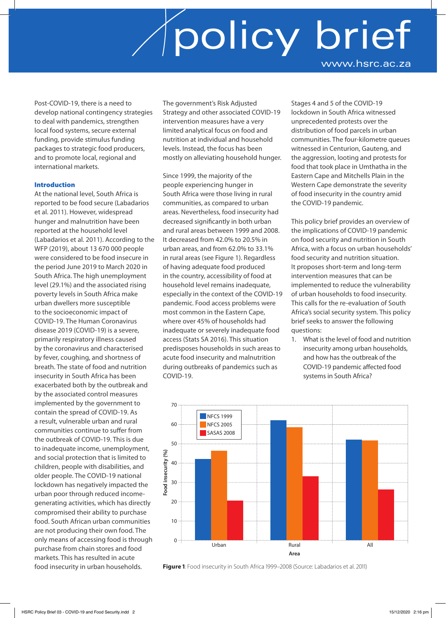Post-COVID-19, there is a need to develop national contingency strategies to deal with pandemics, strengthen local food systems, secure external funding, provide stimulus funding packages to strategic food producers, and to promote local, regional and international markets.

### Introduction

At the national level, South Africa is reported to be food secure (Labadarios et al. 2011). However, widespread hunger and malnutrition have been reported at the household level (Labadarios et al. 2011). According to the WFP (2019), about 13 670 000 people were considered to be food insecure in the period June 2019 to March 2020 in South Africa. The high unemployment level (29.1%) and the associated rising poverty levels in South Africa make urban dwellers more susceptible to the socioeconomic impact of COVID-19. The Human Coronavirus disease 2019 (COVID-19) is a severe, primarily respiratory illness caused by the coronavirus and characterised by fever, coughing, and shortness of breath. The state of food and nutrition insecurity in South Africa has been exacerbated both by the outbreak and by the associated control measures implemented by the government to contain the spread of COVID-19. As a result, vulnerable urban and rural communities continue to suffer from the outbreak of COVID-19. This is due to inadequate income, unemployment, and social protection that is limited to children, people with disabilities, and older people. The COVID-19 national lockdown has negatively impacted the urban poor through reduced incomegenerating activities, which has directly compromised their ability to purchase food. South African urban communities are not producing their own food. The only means of accessing food is through purchase from chain stores and food markets. This has resulted in acute food insecurity in urban households.

The government's Risk Adjusted Strategy and other associated COVID-19 intervention measures have a very limited analytical focus on food and nutrition at individual and household levels. Instead, the focus has been mostly on alleviating household hunger.

Since 1999, the majority of the people experiencing hunger in South Africa were those living in rural communities, as compared to urban areas. Nevertheless, food insecurity had decreased significantly in both urban and rural areas between 1999 and 2008. It decreased from 42.0% to 20.5% in urban areas, and from 62.0% to 33.1% in rural areas (see Figure 1). Regardless of having adequate food produced in the country, accessibility of food at household level remains inadequate, especially in the context of the COVID-19 pandemic. Food access problems were most common in the Eastern Cape, where over 45% of households had inadequate or severely inadequate food access (Stats SA 2016). This situation predisposes households in such areas to acute food insecurity and malnutrition during outbreaks of pandemics such as COVID-19.

Stages 4 and 5 of the COVID-19 lockdown in South Africa witnessed unprecedented protests over the distribution of food parcels in urban communities. The four-kilometre queues witnessed in Centurion, Gauteng, and the aggression, looting and protests for food that took place in Umthatha in the Eastern Cape and Mitchells Plain in the Western Cape demonstrate the severity of food insecurity in the country amid the COVID-19 pandemic.

This policy brief provides an overview of the implications of COVID-19 pandemic on food security and nutrition in South Africa, with a focus on urban households' food security and nutrition situation. It proposes short-term and long-term intervention measures that can be implemented to reduce the vulnerability of urban households to food insecurity. This calls for the re-evaluation of South Africa's social security system. This policy brief seeks to answer the following questions:

1. What is the level of food and nutrition insecurity among urban households, and how has the outbreak of the COVID-19 pandemic affected food systems in South Africa?



**Figure 1**: Food insecurity in South Africa 1999–2008 (Source: Labadarios et al. 2011)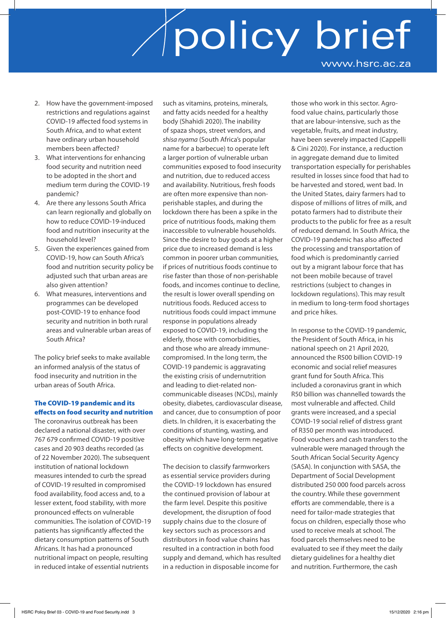- 2. How have the government-imposed restrictions and regulations against COVID-19 affected food systems in South Africa, and to what extent have ordinary urban household members been affected?
- 3. What interventions for enhancing food security and nutrition need to be adopted in the short and medium term during the COVID-19 pandemic?
- 4. Are there any lessons South Africa can learn regionally and globally on how to reduce COVID-19-induced food and nutrition insecurity at the household level?
- 5. Given the experiences gained from COVID-19, how can South Africa's food and nutrition security policy be adjusted such that urban areas are also given attention?
- 6. What measures, interventions and programmes can be developed post-COVID-19 to enhance food security and nutrition in both rural areas and vulnerable urban areas of South Africa?

The policy brief seeks to make available an informed analysis of the status of food insecurity and nutrition in the urban areas of South Africa.

### The COVID-19 pandemic and its effects on food security and nutrition

The coronavirus outbreak has been declared a national disaster, with over 767 679 confirmed COVID-19 positive cases and 20 903 deaths recorded (as of 22 November 2020). The subsequent institution of national lockdown measures intended to curb the spread of COVID-19 resulted in compromised food availability, food access and, to a lesser extent, food stability, with more pronounced effects on vulnerable communities. The isolation of COVID-19 patients has significantly affected the dietary consumption patterns of South Africans. It has had a pronounced nutritional impact on people, resulting in reduced intake of essential nutrients

such as vitamins, proteins, minerals, and fatty acids needed for a healthy body (Shahidi 2020). The inability of spaza shops, street vendors, and *shisa nyama* (South Africa's popular name for a barbecue) to operate left a larger portion of vulnerable urban communities exposed to food insecurity and nutrition, due to reduced access and availability. Nutritious, fresh foods are often more expensive than nonperishable staples, and during the lockdown there has been a spike in the price of nutritious foods, making them inaccessible to vulnerable households. Since the desire to buy goods at a higher price due to increased demand is less common in poorer urban communities, if prices of nutritious foods continue to rise faster than those of non-perishable foods, and incomes continue to decline, the result is lower overall spending on nutritious foods. Reduced access to nutritious foods could impact immune response in populations already exposed to COVID-19, including the elderly, those with comorbidities, and those who are already immunecompromised. In the long term, the COVID-19 pandemic is aggravating the existing crisis of undernutrition and leading to diet-related noncommunicable diseases (NCDs), mainly obesity, diabetes, cardiovascular disease, and cancer, due to consumption of poor diets. In children, it is exacerbating the conditions of stunting, wasting, and obesity which have long-term negative effects on cognitive development.

The decision to classify farmworkers as essential service providers during the COVID-19 lockdown has ensured the continued provision of labour at the farm level. Despite this positive development, the disruption of food supply chains due to the closure of key sectors such as processors and distributors in food value chains has resulted in a contraction in both food supply and demand, which has resulted in a reduction in disposable income for

those who work in this sector. Agrofood value chains, particularly those that are labour-intensive, such as the vegetable, fruits, and meat industry, have been severely impacted (Cappelli & Cini 2020). For instance, a reduction in aggregate demand due to limited transportation especially for perishables resulted in losses since food that had to be harvested and stored, went bad. In the United States, dairy farmers had to dispose of millions of litres of milk, and potato farmers had to distribute their products to the public for free as a result of reduced demand. In South Africa, the COVID-19 pandemic has also affected the processing and transportation of food which is predominantly carried out by a migrant labour force that has not been mobile because of travel restrictions (subject to changes in lockdown regulations). This may result in medium to long-term food shortages and price hikes.

In response to the COVID-19 pandemic, the President of South Africa, in his national speech on 21 April 2020, announced the R500 billion COVID-19 economic and social relief measures grant fund for South Africa. This included a coronavirus grant in which R50 billion was channelled towards the most vulnerable and affected. Child grants were increased, and a special COVID-19 social relief of distress grant of R350 per month was introduced. Food vouchers and cash transfers to the vulnerable were managed through the South African Social Security Agency (SASA). In conjunction with SASA, the Department of Social Development distributed 250 000 food parcels across the country. While these government efforts are commendable, there is a need for tailor-made strategies that focus on children, especially those who used to receive meals at school. The food parcels themselves need to be evaluated to see if they meet the daily dietary guidelines for a healthy diet and nutrition. Furthermore, the cash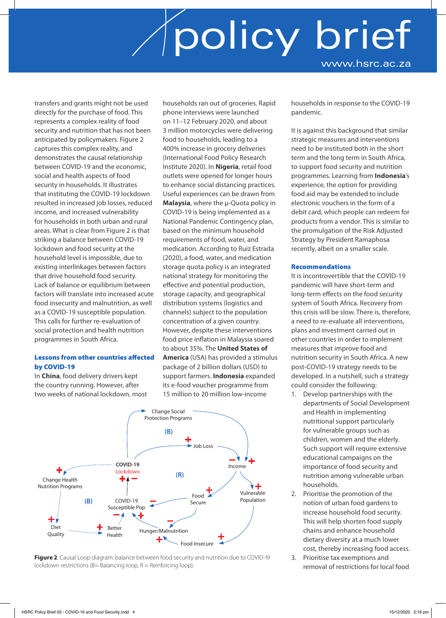transfers and grants might not be used directly for the purchase of food. This represents a complex reality of food security and nutrition that has not been anticipated by policymakers. Figure 2 captures this complex reality, and demonstrates the causal relationship between COVID-19 and the economic, social and health aspects of food security in households. It illustrates that instituting the COVID-19 lockdown resulted in increased job losses, reduced income, and increased vulnerability for households in both urban and rural areas. What is clear from Figure 2 is that striking a balance between COVID-19 lockdown and food security at the household level is impossible, due to existing interlinkages between factors that drive household food security. Lack of balance or equilibrium between factors will translate into increased acute food insecurity and malnutrition, as well as a COVID-19 susceptible population. This calls for further re-evaluation of social protection and health nutrition programmes in South Africa.

### Lessons from other countries affected by COVID-19

In **China**, food delivery drivers kept the country running. However, after two weeks of national lockdown, most households ran out of groceries. Rapid phone interviews were launched on 11–12 February 2020, and about 3 million motorcycles were delivering food to households, leading to a 400% increase in grocery deliveries (International Food Policy Research Institute 2020). In **Nigeria**, retail food outlets were opened for longer hours to enhance social distancing practices. Useful experiences can be drawn from **Malaysia**, where the **µ-Quota policy** in COVID-19 is being implemented as a National Pandemic Contingency plan, based on the minimum household requirements of food, water, and medication. According to Ruiz Estrada (2020), a food, water, and medication storage quota policy is an integrated national strategy for monitoring the effective and potential production, storage capacity, and geographical distribution systems (logistics and channels) subject to the population concentration of a given country. However, despite these interventions food price inflation in Malaysia soared to about 35%. The **United States of America** (USA) has provided a stimulus package of 2 billion dollars (USD) to support farmers. **Indonesia** expanded its e-food voucher programme from 15 million to 20 million low-income





households in response to the COVID-19 pandemic.

It is against this background that similar strategic measures and interventions need to be instituted both in the short term and the long term in South Africa, to support food security and nutrition programmes. Learning from **Indonesia**'s experience, the option for providing food aid may be extended to include electronic vouchers in the form of a debit card, which people can redeem for products from a vendor. This is similar to the promulgation of the Risk Adjusted Strategy by President Ramaphosa recently, albeit on a smaller scale.

### Recommendations

It is incontrovertible that the COVID-19 pandemic will have short-term and long-term effects on the food security system of South Africa. Recovery from this crisis will be slow. There is, therefore, a need to re-evaluate all interventions, plans and investment carried out in other countries in order to implement measures that improve food and nutrition security in South Africa. A new post-COVID-19 strategy needs to be developed. In a nutshell, such a strategy could consider the following:

- 1. Develop partnerships with the departments of Social Development and Health in implementing nutritional support particularly for vulnerable groups such as children, women and the elderly. Such support will require extensive educational campaigns on the importance of food security and nutrition among vulnerable urban households.
- 2. Prioritise the promotion of the notion of urban food gardens to increase household food security. This will help shorten food supply chains and enhance household dietary diversity at a much lower cost, thereby increasing food access.
- 3. Prioritise tax exemptions and removal of restrictions for local food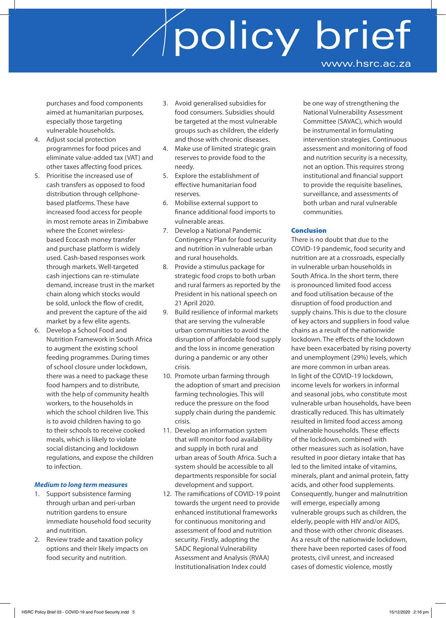purchases and food components aimed at humanitarian purposes, especially those targeting vulnerable households.

- 4. Adjust social protection programmes for food prices and eliminate value-added tax (VAT) and other taxes affecting food prices.
- 5. Prioritise the increased use of cash transfers as opposed to food distribution through cellphonebased platforms. These have increased food access for people in most remote areas in Zimbabwe where the Econet wirelessbased Ecocash money transfer and purchase platform is widely used. Cash-based responses work through markets. Well-targeted cash injections can re-stimulate demand, increase trust in the market chain along which stocks would be sold, unlock the flow of credit, and prevent the capture of the aid market by a few elite agents.
- 6. Develop a School Food and Nutrition Framework in South Africa to augment the existing school feeding programmes. During times of school closure under lockdown, there was a need to package these food hampers and to distribute, with the help of community health workers, to the households in which the school children live. This is to avoid children having to go to their schools to receive cooked meals, which is likely to violate social distancing and lockdown regulations, and expose the children to infection.

### *Medium to long term measures*

- Support subsistence farming through urban and peri-urban nutrition gardens to ensure immediate household food security and nutrition.
- 2. Review trade and taxation policy options and their likely impacts on food security and nutrition.
- 3. Avoid generalised subsidies for food consumers. Subsidies should be targeted at the most vulnerable groups such as children, the elderly and those with chronic diseases.
- 4. Make use of limited strategic grain reserves to provide food to the needy.
- 5. Explore the establishment of effective humanitarian food reserves.
- 6. Mobilise external support to finance additional food imports to vulnerable areas.
- 7. Develop a National Pandemic Contingency Plan for food security and nutrition in vulnerable urban and rural households.
- 8. Provide a stimulus package for strategic food crops to both urban and rural farmers as reported by the President in his national speech on 21 April 2020.
- 9. Build resilience of informal markets that are serving the vulnerable urban communities to avoid the disruption of affordable food supply and the loss in income generation during a pandemic or any other crisis.
- 10. Promote urban farming through the adoption of smart and precision farming technologies. This will reduce the pressure on the food supply chain during the pandemic crisis.
- 11. Develop an information system that will monitor food availability and supply in both rural and urban areas of South Africa. Such a system should be accessible to all departments responsible for social development and support.
- 12. The ramifications of COVID-19 point towards the urgent need to provide enhanced institutional frameworks for continuous monitoring and assessment of food and nutrition security. Firstly, adopting the SADC Regional Vulnerability Assessment and Analysis (RVAA) Institutionalisation Index could

be one way of strengthening the National Vulnerability Assessment Committee (SAVAC), which would be instrumental in formulating intervention strategies. Continuous assessment and monitoring of food and nutrition security is a necessity, not an option. This requires strong institutional and financial support to provide the requisite baselines, surveillance, and assessments of both urban and rural vulnerable communities.

### Conclusion

There is no doubt that due to the COVID-19 pandemic, food security and nutrition are at a crossroads, especially in vulnerable urban households in South Africa. In the short term, there is pronounced limited food access and food utilisation because of the disruption of food production and supply chains. This is due to the closure of key actors and suppliers in food value chains as a result of the nationwide lockdown. The effects of the lockdown have been exacerbated by rising poverty and unemployment (29%) levels, which are more common in urban areas. In light of the COVID-19 lockdown, income levels for workers in informal and seasonal jobs, who constitute most vulnerable urban households, have been drastically reduced. This has ultimately resulted in limited food access among vulnerable households. These effects of the lockdown, combined with other measures such as isolation, have resulted in poor dietary intake that has led to the limited intake of vitamins, minerals, plant and animal protein, fatty acids, and other food supplements. Consequently, hunger and malnutrition will emerge, especially among vulnerable groups such as children, the elderly, people with HIV and/or AIDS, and those with other chronic diseases. As a result of the nationwide lockdown, there have been reported cases of food protests, civil unrest, and increased cases of domestic violence, mostly